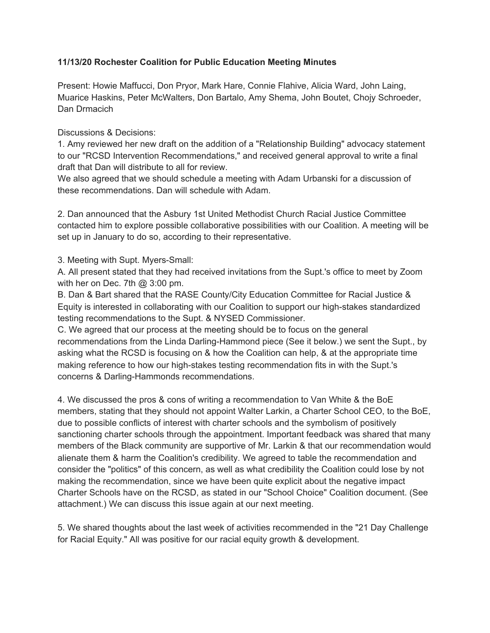## **11/13/20 Rochester Coalition for Public Education Meeting Minutes**

Present: Howie Maffucci, Don Pryor, Mark Hare, Connie Flahive, Alicia Ward, John Laing, Muarice Haskins, Peter McWalters, Don Bartalo, Amy Shema, John Boutet, Chojy Schroeder, Dan Drmacich

## Discussions & Decisions:

1. Amy reviewed her new draft on the addition of a "Relationship Building" advocacy statement to our "RCSD Intervention Recommendations," and received general approval to write a final draft that Dan will distribute to all for review.

We also agreed that we should schedule a meeting with Adam Urbanski for a discussion of these recommendations. Dan will schedule with Adam.

2. Dan announced that the Asbury 1st United Methodist Church Racial Justice Committee contacted him to explore possible collaborative possibilities with our Coalition. A meeting will be set up in January to do so, according to their representative.

3. Meeting with Supt. Myers-Small:

A. All present stated that they had received invitations from the Supt.'s office to meet by Zoom with her on Dec. 7th  $@3:00$  pm.

B. Dan & Bart shared that the RASE County/City Education Committee for Racial Justice & Equity is interested in collaborating with our Coalition to support our high-stakes standardized testing recommendations to the Supt. & NYSED Commissioner.

C. We agreed that our process at the meeting should be to focus on the general recommendations from the Linda Darling-Hammond piece (See it below.) we sent the Supt., by asking what the RCSD is focusing on & how the Coalition can help, & at the appropriate time making reference to how our high-stakes testing recommendation fits in with the Supt.'s concerns & Darling-Hammonds recommendations.

4. We discussed the pros & cons of writing a recommendation to Van White & the BoE members, stating that they should not appoint Walter Larkin, a Charter School CEO, to the BoE, due to possible conflicts of interest with charter schools and the symbolism of positively sanctioning charter schools through the appointment. Important feedback was shared that many members of the Black community are supportive of Mr. Larkin & that our recommendation would alienate them & harm the Coalition's credibility. We agreed to table the recommendation and consider the "politics" of this concern, as well as what credibility the Coalition could lose by not making the recommendation, since we have been quite explicit about the negative impact Charter Schools have on the RCSD, as stated in our "School Choice" Coalition document. (See attachment.) We can discuss this issue again at our next meeting.

5. We shared thoughts about the last week of activities recommended in the "21 Day Challenge for Racial Equity." All was positive for our racial equity growth & development.